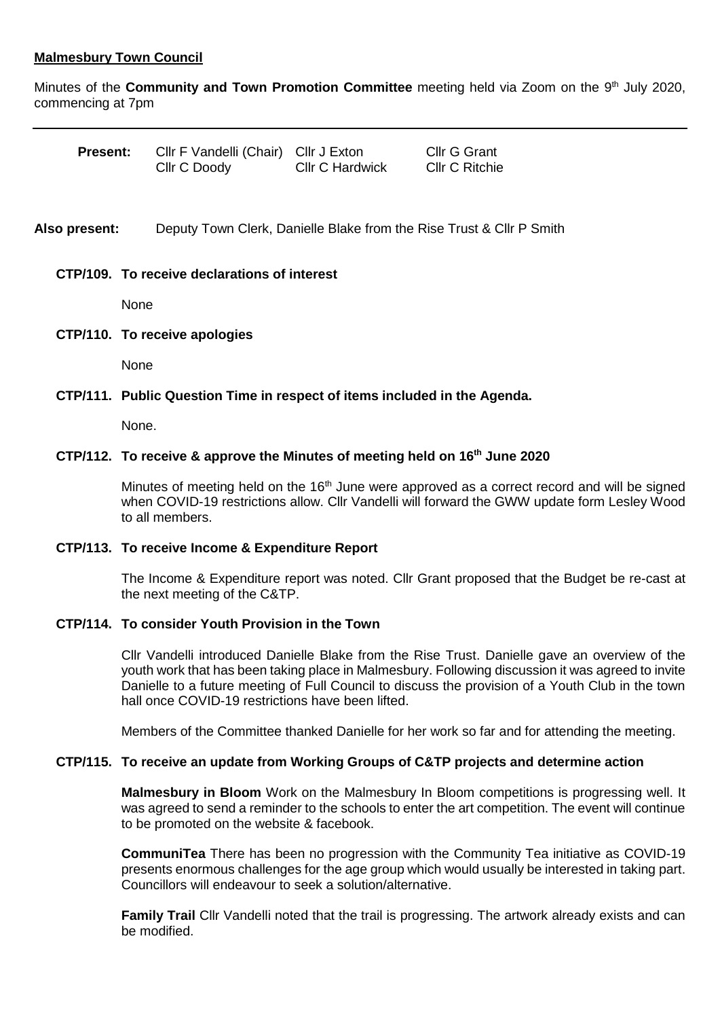# **Malmesbury Town Council**

Minutes of the **Community and Town Promotion Committee** meeting held via Zoom on the 9 th July 2020, commencing at 7pm

| <b>Present:</b> | CIIr F Vandelli (Chair) CIIr J Exton |                        | <b>Cllr G Grant</b>   |
|-----------------|--------------------------------------|------------------------|-----------------------|
|                 | Cllr C Doody                         | <b>CIIr C Hardwick</b> | <b>Cllr C Ritchie</b> |

**Also present:** Deputy Town Clerk, Danielle Blake from the Rise Trust & Cllr P Smith

## **CTP/109. To receive declarations of interest**

None

### **CTP/110. To receive apologies**

None

## **CTP/111. Public Question Time in respect of items included in the Agenda.**

None.

# **CTP/112. To receive & approve the Minutes of meeting held on 16th June 2020**

Minutes of meeting held on the  $16<sup>th</sup>$  June were approved as a correct record and will be signed when COVID-19 restrictions allow. Cllr Vandelli will forward the GWW update form Lesley Wood to all members.

#### **CTP/113. To receive Income & Expenditure Report**

The Income & Expenditure report was noted. Cllr Grant proposed that the Budget be re-cast at the next meeting of the C&TP.

# **CTP/114. To consider Youth Provision in the Town**

Cllr Vandelli introduced Danielle Blake from the Rise Trust. Danielle gave an overview of the youth work that has been taking place in Malmesbury. Following discussion it was agreed to invite Danielle to a future meeting of Full Council to discuss the provision of a Youth Club in the town hall once COVID-19 restrictions have been lifted.

Members of the Committee thanked Danielle for her work so far and for attending the meeting.

## **CTP/115. To receive an update from Working Groups of C&TP projects and determine action**

**Malmesbury in Bloom** Work on the Malmesbury In Bloom competitions is progressing well. It was agreed to send a reminder to the schools to enter the art competition. The event will continue to be promoted on the website & facebook.

**CommuniTea** There has been no progression with the Community Tea initiative as COVID-19 presents enormous challenges for the age group which would usually be interested in taking part. Councillors will endeavour to seek a solution/alternative.

**Family Trail** Cllr Vandelli noted that the trail is progressing. The artwork already exists and can be modified.